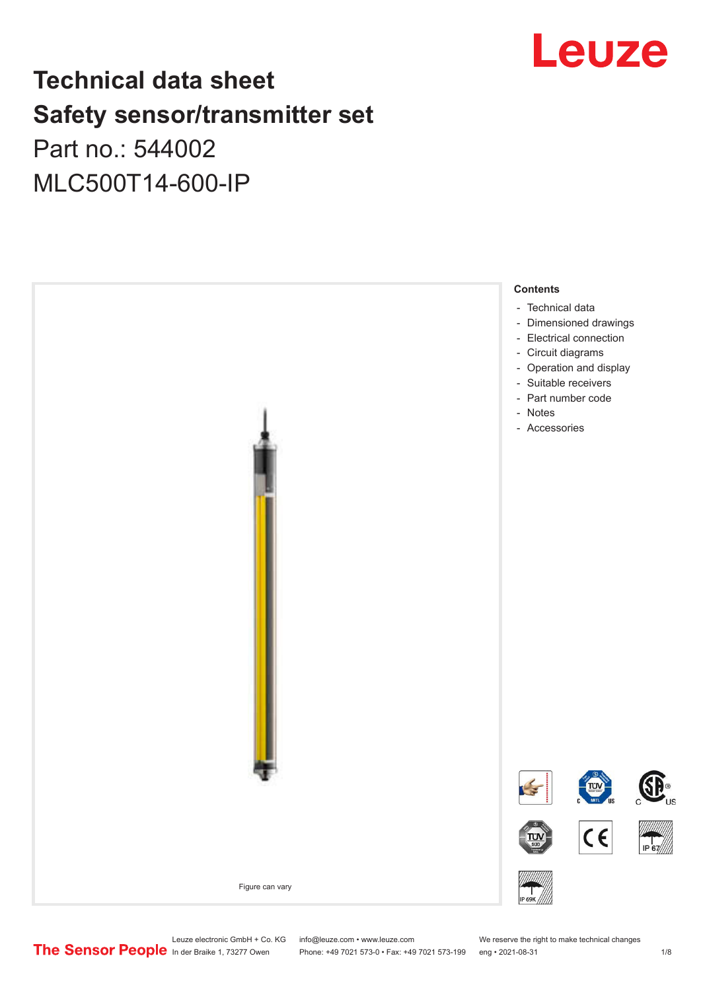

# **Technical data sheet Safety sensor/transmitter set** Part no.: 544002

MLC500T14-600-IP



Leuze electronic GmbH + Co. KG info@leuze.com • www.leuze.com We reserve the right to make technical changes<br>
The Sensor People in der Braike 1, 73277 Owen Phone: +49 7021 573-0 • Fax: +49 7021 573-199 eng • 2021-08-31

Phone: +49 7021 573-0 • Fax: +49 7021 573-199 eng • 2021-08-31 1 2021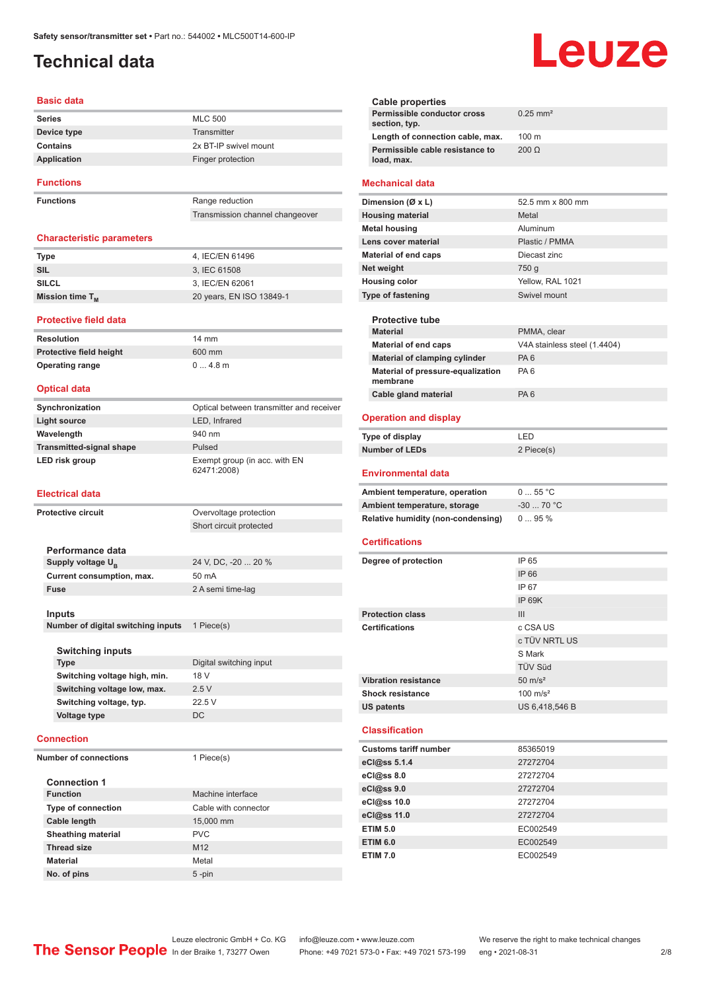### <span id="page-1-0"></span>**Technical data**

#### **Basic data**

| <b>Series</b>    | <b>MLC 500</b>        |
|------------------|-----------------------|
| Device type      | Transmitter           |
| Contains         | 2x BT-IP swivel mount |
| Application      | Finger protection     |
| <b>Functions</b> |                       |

**Functions** Range reduction

#### Transmission channel changeover

#### **Characteristic parameters**

| <b>Type</b>                 | 4. IEC/EN 61496          |
|-----------------------------|--------------------------|
| SIL                         | 3. IEC 61508             |
| <b>SILCL</b>                | 3. IEC/EN 62061          |
| Mission time T <sub>M</sub> | 20 years, EN ISO 13849-1 |

**Protective field height** 600 mm **Operating range** 0 ... 4.8 m

#### **Protective field data**

| <b>Resolution</b>              | $14 \text{ mm}$ |
|--------------------------------|-----------------|
| <b>Protective field height</b> | 600 mi          |
| <b>Operating range</b>         | 04.8            |

#### **Optical data**

| Synchronization                 | Optical between transmitter and receiver     |
|---------------------------------|----------------------------------------------|
| Light source                    | LED, Infrared                                |
| Wavelength                      | 940 nm                                       |
| <b>Transmitted-signal shape</b> | Pulsed                                       |
| LED risk group                  | Exempt group (in acc. with EN<br>62471:2008) |

#### **Electrical data**

| <b>Protective circuit</b>          | Overvoltage protection  |
|------------------------------------|-------------------------|
|                                    | Short circuit protected |
|                                    |                         |
| Performance data                   |                         |
| Supply voltage U <sub>R</sub>      | 24 V, DC, -20  20 %     |
| Current consumption, max.          | 50 mA                   |
| <b>Fuse</b>                        | 2 A semi time-lag       |
|                                    |                         |
| Inputs                             |                         |
| Number of digital switching inputs | 1 Piece(s)              |
|                                    |                         |
| <b>Switching inputs</b>            |                         |
| <b>Type</b>                        | Digital switching input |
| Switching voltage high, min.       | 18 V                    |
| Switching voltage low, max.        | 2.5V                    |
| Switching voltage, typ.            | 22.5 V                  |
| Voltage type                       | <b>DC</b>               |
|                                    |                         |
| <b>Connection</b>                  |                         |
| <b>Number of connections</b>       | 1 Piece(s)              |
|                                    |                         |
| <b>Connection 1</b>                |                         |
| <b>Function</b>                    | Machine interface       |
| <b>Type of connection</b>          | Cable with connector    |
| Cable longth                       | $15.000 \, \text{mm}$   |

| <b>Type of connection</b> | Cable with connector |
|---------------------------|----------------------|
| Cable length              | 15,000 mm            |
| <b>Sheathing material</b> | <b>PVC</b>           |
| <b>Thread size</b>        | M <sub>12</sub>      |
| <b>Material</b>           | Metal                |
| No. of pins               | $5$ -pin             |
|                           |                      |

#### **Cable properties Permissible conductor cross section, typ.** 0.25 mm² **Length of connection cable, max.** 100 m **Permissible cable resistance to load, max.** 200 Ω **Mechanical data Dimension (Ø x L)** 52.5 mm x 800 mm **Housing material** Metal **Metal housing Aluminum Lens cover material Community Contract Plastic / PMMA Material of end caps** Diecast zinc **Net weight** 750 g **Housing color** Yellow, RAL 1021 **Type of fastening** Swivel mount **Protective tube PMMA** clear **Material of end caps** V4A stainless steel (1.4404) **Material of clamping cylinder** PA 6 **Material of pressure-equalization membrane** PA 6 **Cable gland material** PA 6 **Operation and display Type of display** LED **Number of LEDs** 2 Piece(s) **Environmental data** Ambient temperature, operation 0 ... 55 °C **Ambient temperature, storage** -30 ... 70 °C **Relative humidity (non-condensing)** 0 ... 95 % **Certifications Degree of protection** IP 65 IP 66 IP 67 IP 69K **Protection class III Certifications** c CSA US c TÜV NRTL US S Mark TÜV Süd **Vibration resistance** 50 m/s<sup>2</sup> **Shock resistance** 100 m/s<sup>2</sup> **US patents** US 6,418,546 B **Classification Customs tariff number** 85365019

Leuze

| GUSLUINS LATIN NUMBER | <u>00000015</u> |
|-----------------------|-----------------|
| eCl@ss 5.1.4          | 27272704        |
| $eC/\omega$ ss 8.0    | 27272704        |
| eCl@ss 9.0            | 27272704        |
| eCl@ss 10.0           | 27272704        |
| eCl@ss 11.0           | 27272704        |
| <b>ETIM 5.0</b>       | EC002549        |
| <b>ETIM 6.0</b>       | EC002549        |
| <b>ETIM 7.0</b>       | EC002549        |

Leuze electronic GmbH + Co. KG info@leuze.com • www.leuze.com We reserve the right to make technical changes<br>
The Sensor People in der Braike 1, 73277 Owen Phone: +49 7021 573-0 • Fax: +49 7021 573-199 eng • 2021-08-31

Phone: +49 7021 573-0 • Fax: +49 7021 573-199 eng • 2021-08-31 2/8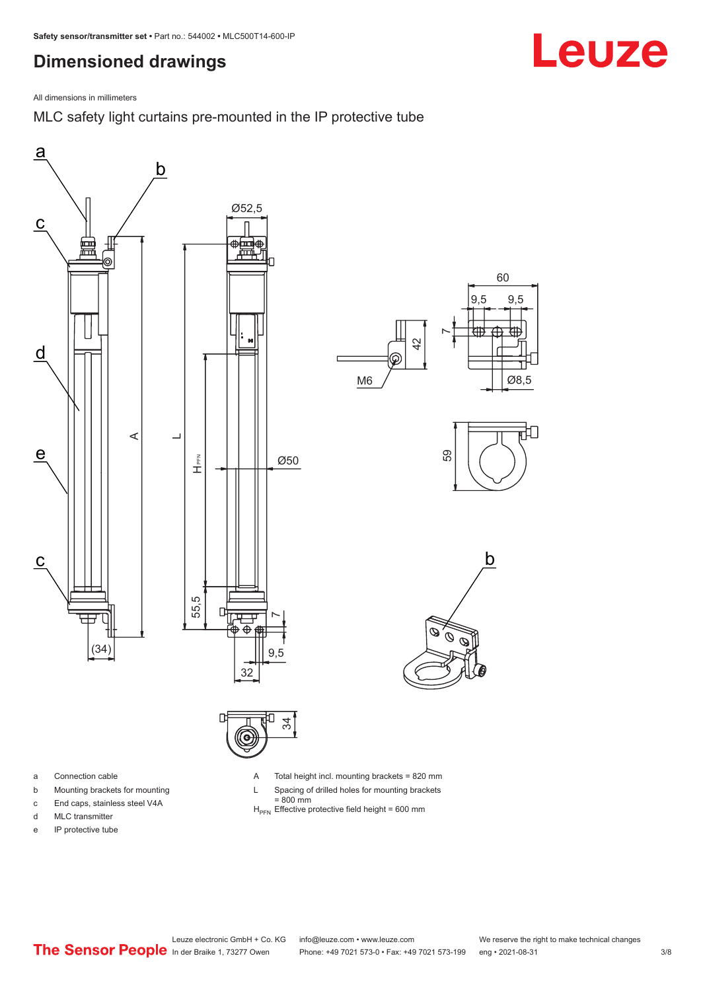# <span id="page-2-0"></span>**Dimensioned drawings**



MLC safety light curtains pre-mounted in the IP protective tube







- b Mounting brackets for mounting
- c End caps, stainless steel V4A
- d MLC transmitter
- e IP protective tube

A Total height incl. mounting brackets = 820 mm

- L Spacing of drilled holes for mounting brackets
- 
- = 800 mm<br>H<sub>PFN</sub> Effective protective field height = 600 mm

Leuze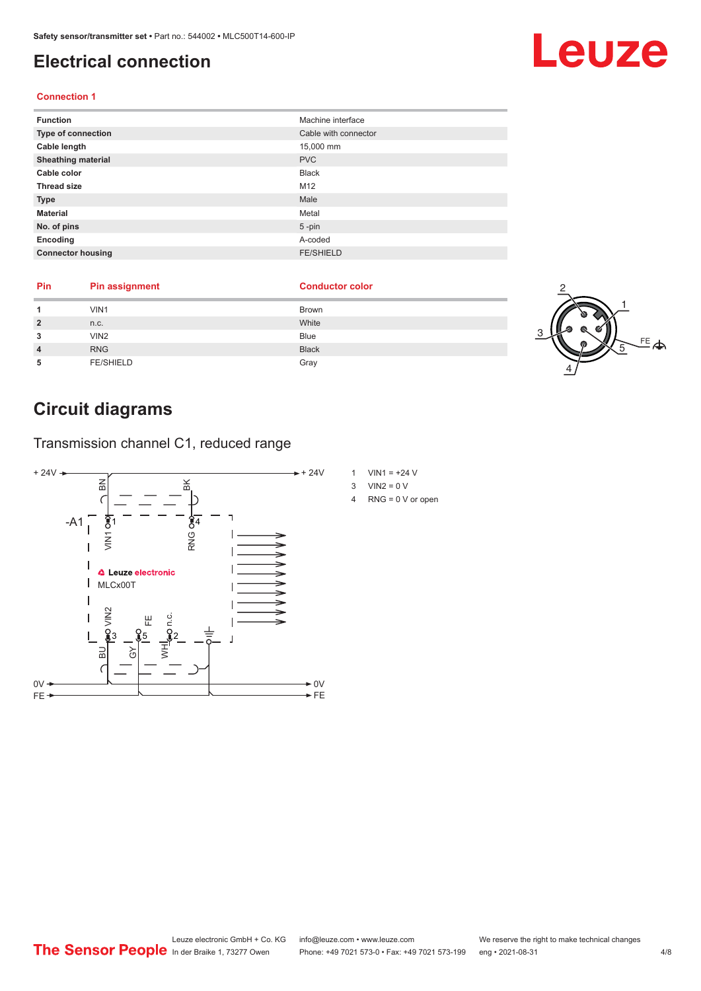### <span id="page-3-0"></span>**Electrical connection**

#### **Connection 1**

| <b>Function</b>           | Machine interface    |
|---------------------------|----------------------|
| <b>Type of connection</b> | Cable with connector |
| Cable length              | 15,000 mm            |
| <b>Sheathing material</b> | <b>PVC</b>           |
| Cable color               | <b>Black</b>         |
| <b>Thread size</b>        | M12                  |
| <b>Type</b>               | Male                 |
| <b>Material</b>           | Metal                |
| No. of pins               | $5$ -pin             |
| Encoding                  | A-coded              |
| <b>Connector housing</b>  | <b>FE/SHIELD</b>     |

| Pin | <b>Pin assignment</b> | <b>Conductor color</b> |  |
|-----|-----------------------|------------------------|--|
|     | VIN <sub>1</sub>      | Brown                  |  |
|     | n.c.                  | White                  |  |
|     | VIN <sub>2</sub>      | Blue                   |  |
|     | <b>RNG</b>            | <b>Black</b>           |  |
| 5   | <b>FE/SHIELD</b>      | Gray                   |  |

# **Circuit diagrams**

Transmission channel C1, reduced range



- 1 VIN1 =  $+24$  V
- 
- 4 RNG = 0 V or open

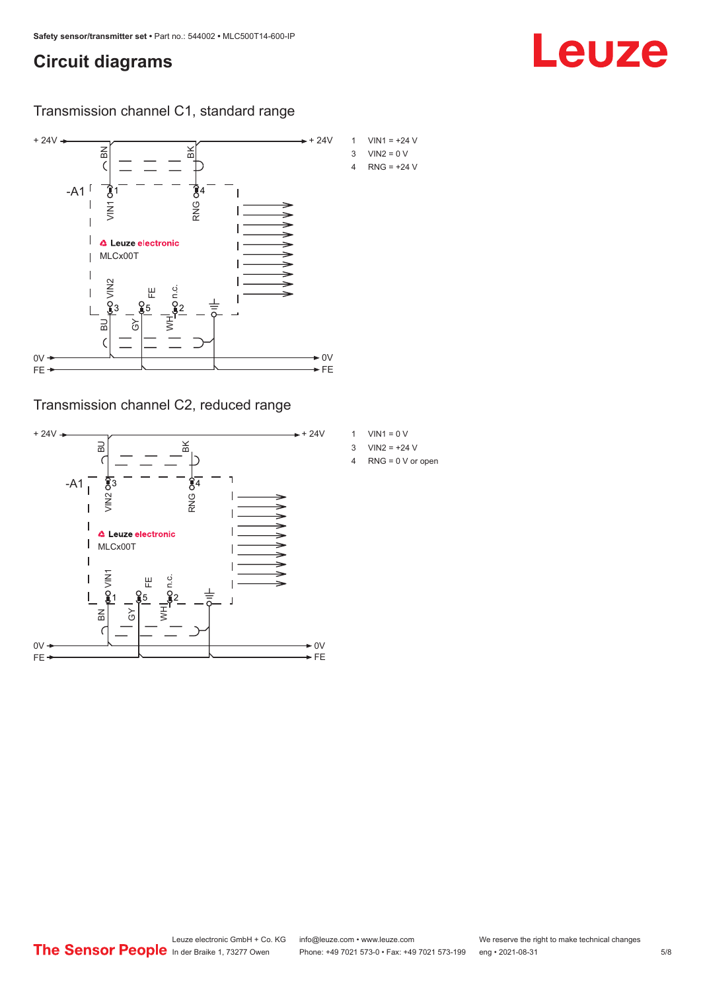### **Circuit diagrams**

Transmission channel C1, standard range



Transmission channel C2, reduced range



- 1 VIN1 =  $0 V$
- 3  $VIN2 = +24 V$
- 4 RNG = 0 V or open

Leuze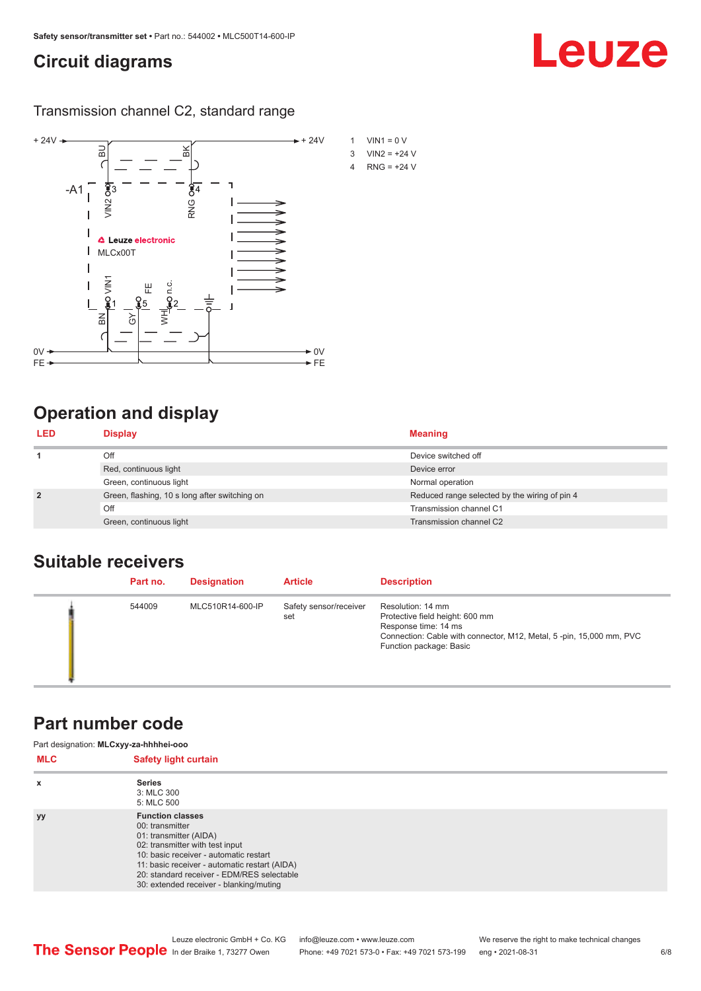### <span id="page-5-0"></span>**Circuit diagrams**

Transmission channel C2, standard range



# **Operation and display**

| <b>LED</b>                                                                                        | <b>Display</b>          | <b>Meaning</b>                                |
|---------------------------------------------------------------------------------------------------|-------------------------|-----------------------------------------------|
|                                                                                                   | Off                     | Device switched off                           |
|                                                                                                   | Red, continuous light   | Device error                                  |
| Green, continuous light<br>$\overline{2}$<br>Green, flashing, 10 s long after switching on<br>Off |                         | Normal operation                              |
|                                                                                                   |                         | Reduced range selected by the wiring of pin 4 |
|                                                                                                   |                         | Transmission channel C1                       |
|                                                                                                   | Green, continuous light | Transmission channel C2                       |

### **Suitable receivers**

| Part no. | <b>Designation</b> | <b>Article</b>                | <b>Description</b>                                                                                                                                                             |
|----------|--------------------|-------------------------------|--------------------------------------------------------------------------------------------------------------------------------------------------------------------------------|
| 544009   | MLC510R14-600-IP   | Safety sensor/receiver<br>set | Resolution: 14 mm<br>Protective field height: 600 mm<br>Response time: 14 ms<br>Connection: Cable with connector, M12, Metal, 5-pin, 15,000 mm, PVC<br>Function package: Basic |

### **Part number code**

| <b>MLC</b> | Part designation: MLCxyy-za-hhhhei-ooo<br><b>Safety light curtain</b>                                                                                                                                                                                                                       |  |
|------------|---------------------------------------------------------------------------------------------------------------------------------------------------------------------------------------------------------------------------------------------------------------------------------------------|--|
| x          | <b>Series</b><br>3: MLC 300<br>5: MLC 500                                                                                                                                                                                                                                                   |  |
| <b>yy</b>  | <b>Function classes</b><br>00: transmitter<br>01: transmitter (AIDA)<br>02: transmitter with test input<br>10: basic receiver - automatic restart<br>11: basic receiver - automatic restart (AIDA)<br>20: standard receiver - EDM/RES selectable<br>30: extended receiver - blanking/muting |  |

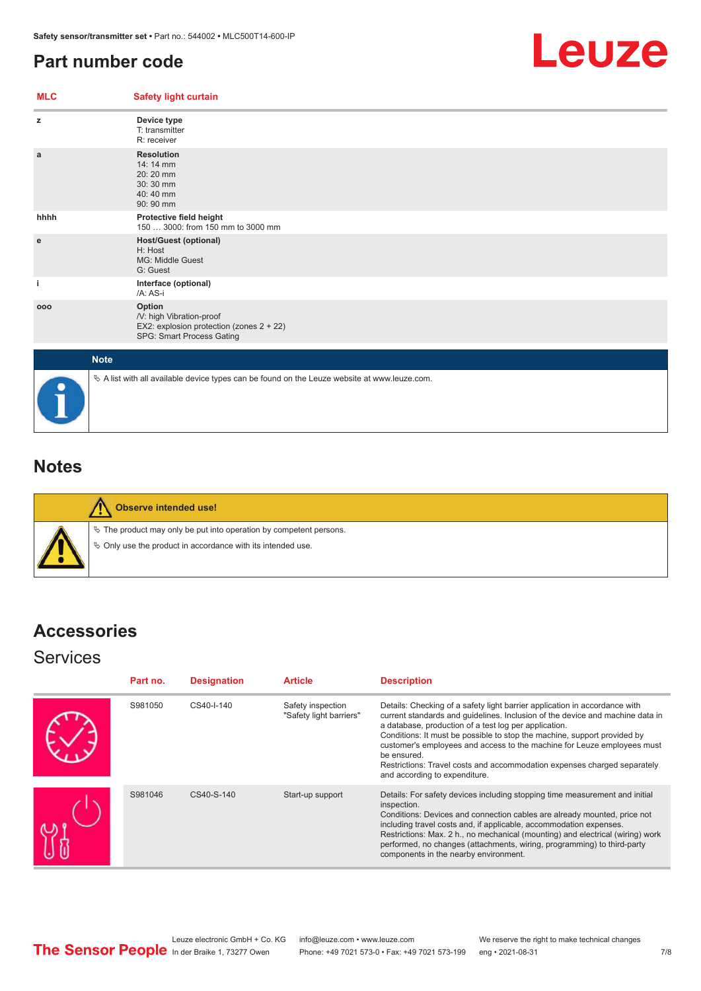### <span id="page-6-0"></span>**Part number code**



| <b>MLC</b> | <b>Safety light curtain</b>                                                                                 |  |  |
|------------|-------------------------------------------------------------------------------------------------------------|--|--|
| z          | Device type<br>T: transmitter<br>R: receiver                                                                |  |  |
| a          | <b>Resolution</b><br>14: 14 mm<br>20:20 mm<br>30:30 mm<br>$40:40$ mm<br>90: 90 mm                           |  |  |
| hhhh       | Protective field height<br>150  3000: from 150 mm to 3000 mm                                                |  |  |
| e          | <b>Host/Guest (optional)</b><br>H: Host<br><b>MG: Middle Guest</b><br>G: Guest                              |  |  |
| i          | Interface (optional)<br>/A: AS-i                                                                            |  |  |
| 000        | Option<br>/V: high Vibration-proof<br>EX2: explosion protection (zones 2 + 22)<br>SPG: Smart Process Gating |  |  |
|            | <b>Note</b>                                                                                                 |  |  |
|            | $\&$ A list with all available device types can be found on the Leuze website at www.leuze.com.             |  |  |

## **Notes**

**Observe intended use!**  $\%$  The product may only be put into operation by competent persons.  $\%$  Only use the product in accordance with its intended use.

# **Accessories**

#### **Services**

| Part no. | <b>Designation</b> | <b>Article</b>                               | <b>Description</b>                                                                                                                                                                                                                                                                                                                                                                                                                                                                                      |
|----------|--------------------|----------------------------------------------|---------------------------------------------------------------------------------------------------------------------------------------------------------------------------------------------------------------------------------------------------------------------------------------------------------------------------------------------------------------------------------------------------------------------------------------------------------------------------------------------------------|
| S981050  | CS40-I-140         | Safety inspection<br>"Safety light barriers" | Details: Checking of a safety light barrier application in accordance with<br>current standards and quidelines. Inclusion of the device and machine data in<br>a database, production of a test log per application.<br>Conditions: It must be possible to stop the machine, support provided by<br>customer's employees and access to the machine for Leuze employees must<br>be ensured.<br>Restrictions: Travel costs and accommodation expenses charged separately<br>and according to expenditure. |
| S981046  | CS40-S-140         | Start-up support                             | Details: For safety devices including stopping time measurement and initial<br>inspection.<br>Conditions: Devices and connection cables are already mounted, price not<br>including travel costs and, if applicable, accommodation expenses.<br>Restrictions: Max. 2 h., no mechanical (mounting) and electrical (wiring) work<br>performed, no changes (attachments, wiring, programming) to third-party<br>components in the nearby environment.                                                      |